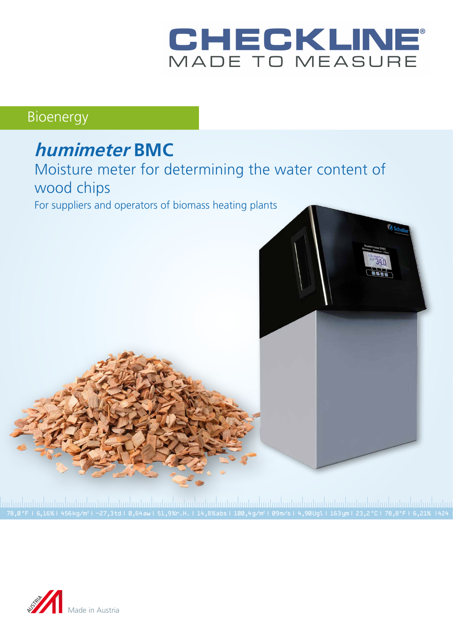# CHECKLINE

## Bioenergy

# **humimeter BMC** Moisture meter for determining the water content of wood chips

For suppliers and operators of biomass heating plants



|<br>78,0 °F | 6,16%| 456kg/m3| -27,3td| 0,64aw| 51,9‰.H. | 14,8%abs| 100,4g/m²| 09m/s| 4,90Ugl| 163ym| 23,2 °C| 78,8°F| 6,21% |424<br>78,0 °F | 6,16%| 456kg/m3| −27,3td| 0,64aw| 51,9‰.H. | 14,8%abs| 100,4g/m²| 09m/s| 4,90Ugl|